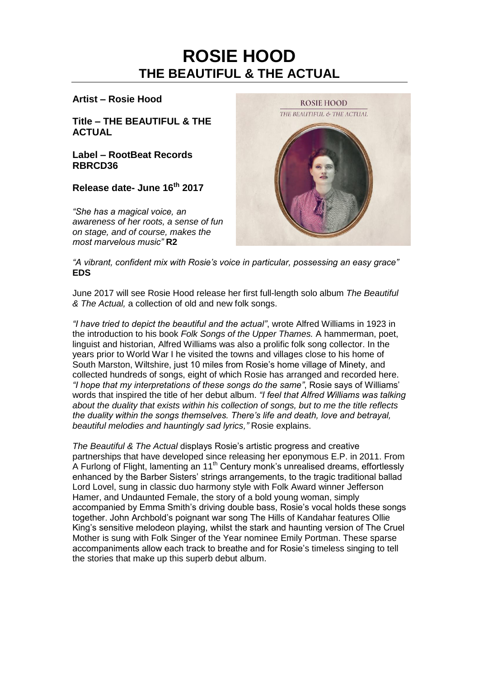# **ROSIE HOOD THE BEAUTIFUL & THE ACTUAL**

## **Artist – Rosie Hood**

**Title – THE BEAUTIFUL & THE ACTUAL**

**Label – RootBeat Records RBRCD36**

**Release date- June 16th 2017**

*"She has a magical voice, an awareness of her roots, a sense of fun on stage, and of course, makes the most marvelous music"* **R2**



*"A vibrant, confident mix with Rosie's voice in particular, possessing an easy grace"* **EDS**

June 2017 will see Rosie Hood release her first full-length solo album *The Beautiful & The Actual,* a collection of old and new folk songs.

*"I have tried to depict the beautiful and the actual"*, wrote Alfred Williams in 1923 in the introduction to his book *Folk Songs of the Upper Thames.* A hammerman, poet, linguist and historian, Alfred Williams was also a prolific folk song collector. In the years prior to World War I he visited the towns and villages close to his home of South Marston, Wiltshire, just 10 miles from Rosie's home village of Minety, and collected hundreds of songs, eight of which Rosie has arranged and recorded here. *"I hope that my interpretations of these songs do the same"*, Rosie says of Williams' words that inspired the title of her debut album. *"I feel that Alfred Williams was talking about the duality that exists within his collection of songs, but to me the title reflects the duality within the songs themselves. There's life and death, love and betrayal, beautiful melodies and hauntingly sad lyrics,"* Rosie explains.

*The Beautiful & The Actual* displays Rosie's artistic progress and creative partnerships that have developed since releasing her eponymous E.P. in 2011. From A Furlong of Flight, lamenting an 11<sup>th</sup> Century monk's unrealised dreams, effortlessly enhanced by the Barber Sisters' strings arrangements, to the tragic traditional ballad Lord Lovel, sung in classic duo harmony style with Folk Award winner Jefferson Hamer, and Undaunted Female, the story of a bold young woman, simply accompanied by Emma Smith's driving double bass, Rosie's vocal holds these songs together. John Archbold's poignant war song The Hills of Kandahar features Ollie King's sensitive melodeon playing, whilst the stark and haunting version of The Cruel Mother is sung with Folk Singer of the Year nominee Emily Portman. These sparse accompaniments allow each track to breathe and for Rosie's timeless singing to tell the stories that make up this superb debut album.